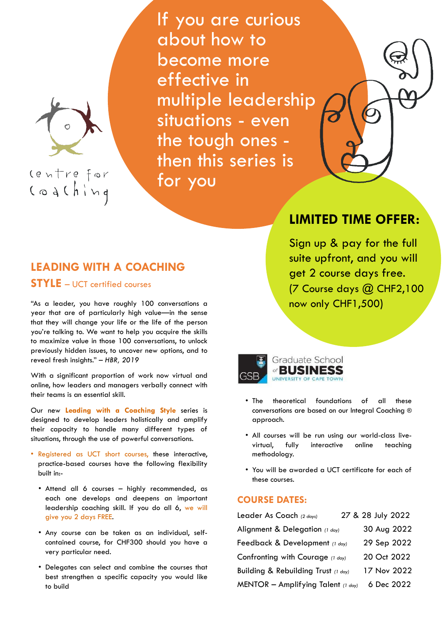

controfor<br>Coaching

If you are curious about how to become more effective in multiple leadership situations - even the tough ones then this series is for you

## **LEADING WITH A COACHING**

## **STYLE** – UCT certified courses

"As a leader, you have roughly 100 conversations a year that are of particularly high value—in the sense that they will change your life or the life of the person you're talking to. We want to help you acquire the skills to maximize value in those 100 conversations, to unlock previously hidden issues, to uncover new options, and to reveal fresh insights." *– HBR, 2019*

With a significant proportion of work now virtual and online, how leaders and managers verbally connect with their teams is an essential skill.

Our new **Leading with a Coaching Style** series is designed to develop leaders holistically and amplify their capacity to handle many different types of situations, through the use of powerful conversations.

• Registered as UCT short courses, these interactive, practice-based courses have the following flexibility

built in:-

- Attend all 6 courses highly recommended, as each one develops and deepens an important leadership coaching skill. If you do all 6, we will give you 2 days FREE.
- Any course can be taken as an individual, selfcontained course, for CHF300 should you have a very particular need.
- Delegates can select and combine the courses that best strengthen a specific capacity you would like to build

## **COURSE DATES:**

| Leader As Coach (2 days)            |  | 27 & 28 July 2022 |  |
|-------------------------------------|--|-------------------|--|
| Alignment & Delegation (1 day)      |  | 30 Aug 2022       |  |
| Feedback & Development (1 day)      |  | 29 Sep 2022       |  |
| Confronting with Courage (1 day)    |  | 20 Oct 2022       |  |
| Building & Rebuilding Trust (1 day) |  | 17 Nov 2022       |  |
| MENTOR - Amplifying Talent (1 day)  |  | 6 Dec 2022        |  |

- The theoretical foundations of all these conversations are based on our Integral Coaching ® approach.
- All courses will be run using our world-class livevirtual, fully interactive online teaching methodology.
- You will be awarded a UCT certificate for each of

these courses.

# **LIMITED TIME OFFER:**

Sign up & pay for the full suite upfront, and you will get 2 course days free. (7 Course days @ CHF2,100 now only CHF1,500)